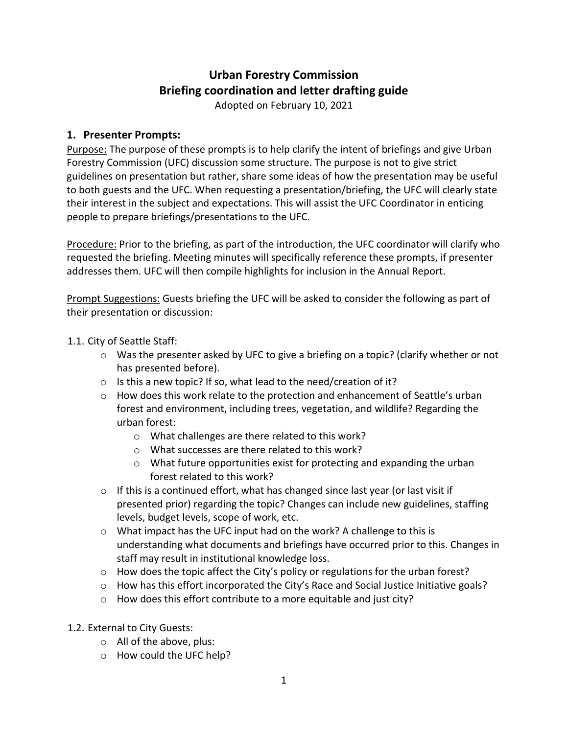## **Urban Forestry Commission Briefing coordination and letter drafting guide**

Adopted on February 10, 2021

## **1. Presenter Prompts:**

Purpose: The purpose of these prompts is to help clarify the intent of briefings and give Urban Forestry Commission (UFC) discussion some structure. The purpose is not to give strict guidelines on presentation but rather, share some ideas of how the presentation may be useful to both guests and the UFC. When requesting a presentation/briefing, the UFC will clearly state their interest in the subject and expectations. This will assist the UFC Coordinator in enticing people to prepare briefings/presentations to the UFC.

Procedure: Prior to the briefing, as part of the introduction, the UFC coordinator will clarify who requested the briefing. Meeting minutes will specifically reference these prompts, if presenter addresses them. UFC will then compile highlights for inclusion in the Annual Report.

**Prompt Suggestions:** Guests briefing the UFC will be asked to consider the following as part of their presentation or discussion:

- 1.1. City of Seattle Staff:
	- $\circ$  Was the presenter asked by UFC to give a briefing on a topic? (clarify whether or not has presented before).
	- o Is this a new topic? If so, what lead to the need/creation of it?
	- $\circ$  How does this work relate to the protection and enhancement of Seattle's urban forest and environment, including trees, vegetation, and wildlife? Regarding the urban forest:
		- o What challenges are there related to this work?
		- o What successes are there related to this work?
		- o What future opportunities exist for protecting and expanding the urban forest related to this work?
	- $\circ$  If this is a continued effort, what has changed since last year (or last visit if presented prior) regarding the topic? Changes can include new guidelines, staffing levels, budget levels, scope of work, etc.
	- o What impact has the UFC input had on the work? A challenge to this is understanding what documents and briefings have occurred prior to this. Changes in staff may result in institutional knowledge loss.
	- $\circ$  How does the topic affect the City's policy or regulations for the urban forest?
	- o How has this effort incorporated the City's Race and Social Justice Initiative goals?
	- o How does this effort contribute to a more equitable and just city?
- 1.2. External to City Guests:
	- o All of the above, plus:
	- o How could the UFC help?